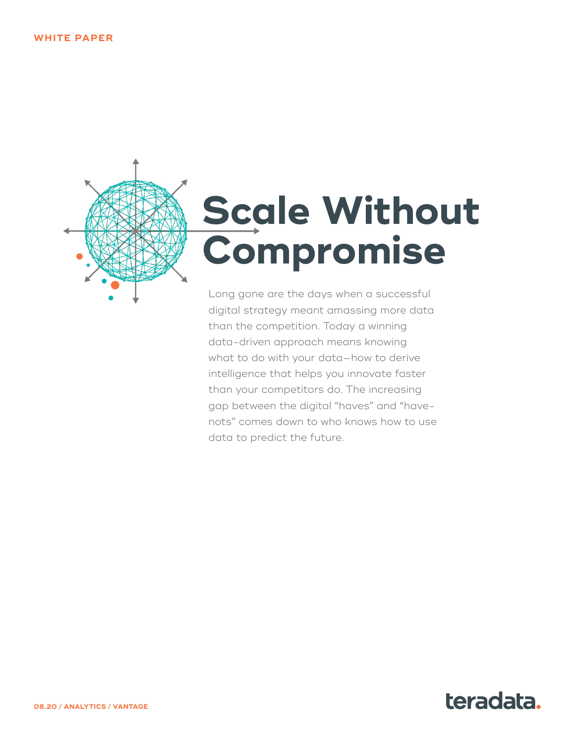

# **<u>Scale Without</u> the Future Compromise**

Long gone are the days when a successful digital strategy meant amassing more data than the competition. Today a winning data-driven approach means knowing what to do with your data—how to derive intelligence that helps you innovate faster than your competitors do. The increasing gap between the digital "haves" and "havenots" comes down to who knows how to use data to predict the future.

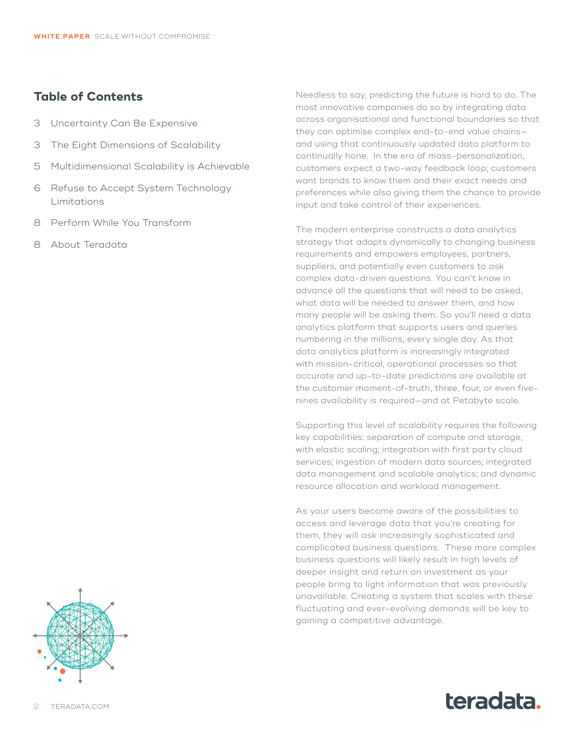#### **Table of Contents**

- 3 [Uncertainty Can Be Expensive](#page-2-0)
- 3 [The Eight Dimensions of Scalability](#page-2-0)
- 5 [Multidimensional Scalability is Achievable](#page-4-0)
- 6 [Refuse to Accept System Technology](#page-5-0)  [Limitations](#page-5-0)
- 8 [Perform While You Transform](#page-7-0)
- 8 [About Teradata](#page-7-0)

Needless to say, predicting the future is hard to do. The most innovative companies do so by integrating data across organisational and functional boundaries so that they can optimise complex end-to-end value chains and using that continuously updated data platform to continually hone. In the era of mass-personalization, customers expect a two-way feedback loop; customers want brands to know them and their exact needs and preferences while also giving them the chance to provide input and take control of their experiences.

The modern enterprise constructs a data analytics strategy that adapts dynamically to changing business requirements and empowers employees, partners, suppliers, and potentially even customers to ask complex data-driven questions. You can't know in advance all the questions that will need to be asked, what data will be needed to answer them, and how many people will be asking them. So you'll need a data analytics platform that supports users and queries numbering in the millions, every single day. As that data analytics platform is increasingly integrated with mission-critical, operational processes so that accurate and up-to-date predictions are available at the customer moment-of-truth, three, four, or even fivenines availability is required—and at Petabyte scale.

Supporting this level of scalability requires the following key capabilities: separation of compute and storage, with elastic scaling; integration with first party cloud services; ingestion of modern data sources; integrated data management and scalable analytics; and dynamic resource allocation and workload management.

As your users become aware of the possibilities to access and leverage data that you're creating for them, they will ask increasingly sophisticated and complicated business questions. These more complex business questions will likely result in high levels of deeper insight and return on investment as your people bring to light information that was previously unavailable. Creating a system that scales with these fluctuating and ever-evolving demands will be key to gaining a competitive advantage.



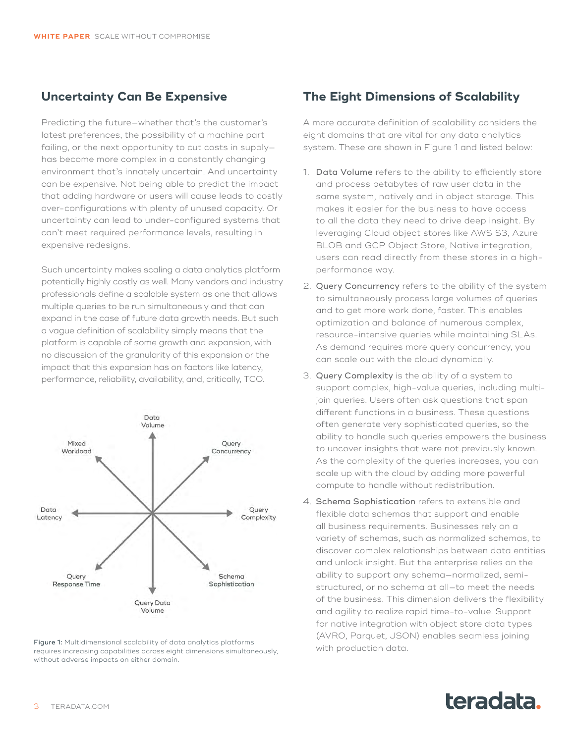#### <span id="page-2-0"></span>**Uncertainty Can Be Expensive**

Predicting the future—whether that's the customer's latest preferences, the possibility of a machine part failing, or the next opportunity to cut costs in supplyhas become more complex in a constantly changing environment that's innately uncertain. And uncertainty can be expensive. Not being able to predict the impact that adding hardware or users will cause leads to costly over-configurations with plenty of unused capacity. Or uncertainty can lead to under-configured systems that can't meet required performance levels, resulting in expensive redesigns.

Such uncertainty makes scaling a data analytics platform potentially highly costly as well. Many vendors and industry professionals define a scalable system as one that allows multiple queries to be run simultaneously and that can expand in the case of future data growth needs. But such a vague definition of scalability simply means that the platform is capable of some growth and expansion, with no discussion of the granularity of this expansion or the impact that this expansion has on factors like latency, performance, reliability, availability, and, critically, TCO.



Figure 1: Multidimensional scalability of data analytics platforms with production data. requires increasing capabilities across eight dimensions simultaneously, without adverse impacts on either domain.

## **The Eight Dimensions of Scalability**

A more accurate definition of scalability considers the eight domains that are vital for any data analytics system. These are shown in Figure 1 and listed below:

- 1. Data Volume refers to the ability to efficiently store and process petabytes of raw user data in the same system, natively and in object storage. This makes it easier for the business to have access to all the data they need to drive deep insight. By leveraging Cloud object stores like AWS S3, Azure BLOB and GCP Object Store, Native integration, users can read directly from these stores in a highperformance way.
- 2. Query Concurrency refers to the ability of the system to simultaneously process large volumes of queries and to get more work done, faster. This enables optimization and balance of numerous complex, resource-intensive queries while maintaining SLAs. As demand requires more query concurrency, you can scale out with the cloud dynamically.
- 3. Query Complexity is the ability of a system to support complex, high-value queries, including multijoin queries. Users often ask questions that span different functions in a business. These questions often generate very sophisticated queries, so the ability to handle such queries empowers the business to uncover insights that were not previously known. As the complexity of the queries increases, you can scale up with the cloud by adding more powerful compute to handle without redistribution.
- 4. Schema Sophistication refers to extensible and flexible data schemas that support and enable all business requirements. Businesses rely on a variety of schemas, such as normalized schemas, to discover complex relationships between data entities and unlock insight. But the enterprise relies on the ability to support any schema—normalized, semistructured, or no schema at all—to meet the needs of the business. This dimension delivers the flexibility and agility to realize rapid time-to-value. Support for native integration with object store data types (AVRO, Parquet, JSON) enables seamless joining

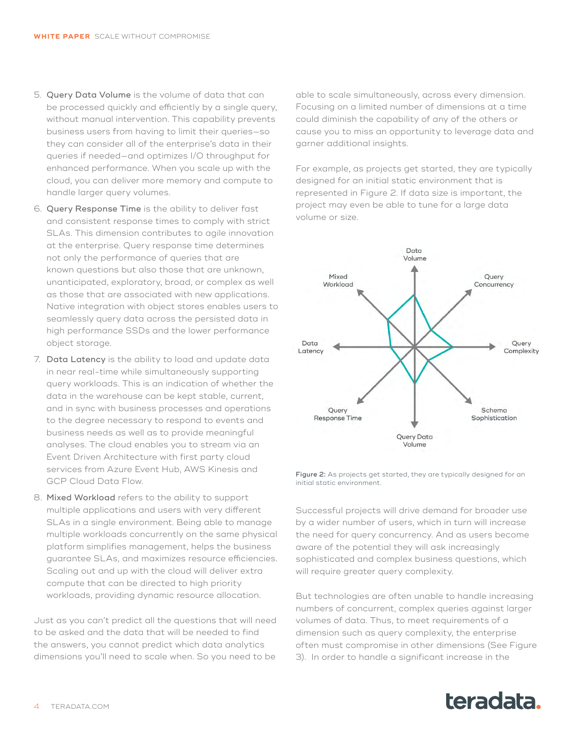- 5. Query Data Volume is the volume of data that can be processed quickly and efficiently by a single query, without manual intervention. This capability prevents business users from having to limit their queries—so they can consider all of the enterprise's data in their queries if needed—and optimizes I/O throughput for enhanced performance. When you scale up with the cloud, you can deliver more memory and compute to handle larger query volumes.
- 6. Query Response Time is the ability to deliver fast and consistent response times to comply with strict SLAs. This dimension contributes to agile innovation at the enterprise. Query response time determines not only the performance of queries that are known questions but also those that are unknown, unanticipated, exploratory, broad, or complex as well as those that are associated with new applications. Native integration with object stores enables users to seamlessly query data across the persisted data in high performance SSDs and the lower performance object storage.
- 7. Data Latency is the ability to load and update data in near real-time while simultaneously supporting query workloads. This is an indication of whether the data in the warehouse can be kept stable, current, and in sync with business processes and operations to the degree necessary to respond to events and business needs as well as to provide meaningful analyses. The cloud enables you to stream via an Event Driven Architecture with first party cloud services from Azure Event Hub, AWS Kinesis and GCP Cloud Data Flow.
- 8. Mixed Workload refers to the ability to support multiple applications and users with very different SLAs in a single environment. Being able to manage multiple workloads concurrently on the same physical platform simplifies management, helps the business guarantee SLAs, and maximizes resource efficiencies. Scaling out and up with the cloud will deliver extra compute that can be directed to high priority workloads, providing dynamic resource allocation.

Just as you can't predict all the questions that will need to be asked and the data that will be needed to find the answers, you cannot predict which data analytics dimensions you'll need to scale when. So you need to be

able to scale simultaneously, across every dimension. Focusing on a limited number of dimensions at a time could diminish the capability of any of the others or cause you to miss an opportunity to leverage data and garner additional insights.

For example, as projects get started, they are typically designed for an initial static environment that is represented in Figure 2. If data size is important, the project may even be able to tune for a large data volume or size.



Figure 2: As projects get started, they are typically designed for an initial static environment.

Successful projects will drive demand for broader use by a wider number of users, which in turn will increase the need for query concurrency. And as users become aware of the potential they will ask increasingly sophisticated and complex business questions, which will require greater query complexity.

But technologies are often unable to handle increasing numbers of concurrent, complex queries against larger volumes of data. Thus, to meet requirements of a dimension such as query complexity, the enterprise often must compromise in other dimensions (See Figure 3). In order to handle a significant increase in the

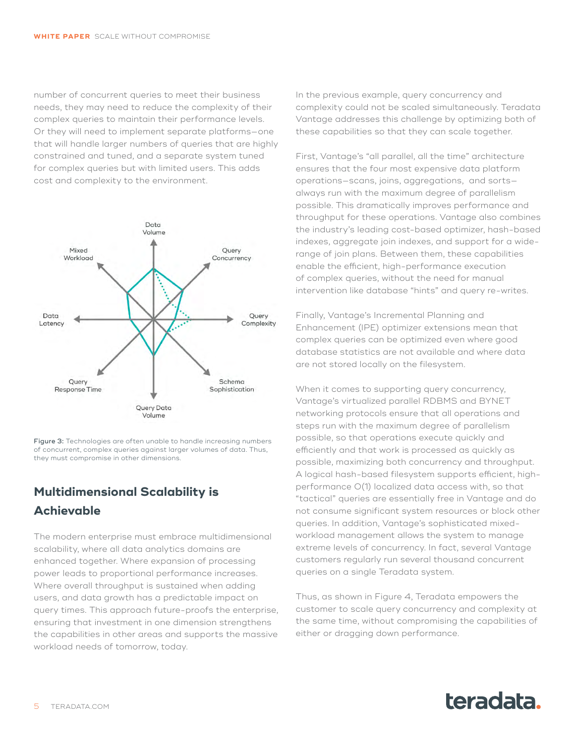<span id="page-4-0"></span>number of concurrent queries to meet their business needs, they may need to reduce the complexity of their complex queries to maintain their performance levels. Or they will need to implement separate platforms—one that will handle larger numbers of queries that are highly constrained and tuned, and a separate system tuned for complex queries but with limited users. This adds cost and complexity to the environment.



Figure 3: Technologies are often unable to handle increasing numbers of concurrent, complex queries against larger volumes of data. Thus, they must compromise in other dimensions.

## **Multidimensional Scalability is Achievable**

The modern enterprise must embrace multidimensional scalability, where all data analytics domains are enhanced together. Where expansion of processing power leads to proportional performance increases. Where overall throughput is sustained when adding users, and data growth has a predictable impact on query times. This approach future-proofs the enterprise, ensuring that investment in one dimension strengthens the capabilities in other areas and supports the massive workload needs of tomorrow, today.

In the previous example, query concurrency and complexity could not be scaled simultaneously. Teradata Vantage addresses this challenge by optimizing both of these capabilities so that they can scale together.

First, Vantage's "all parallel, all the time" architecture ensures that the four most expensive data platform operations—scans, joins, aggregations, and sorts always run with the maximum degree of parallelism possible. This dramatically improves performance and throughput for these operations. Vantage also combines the industry's leading cost-based optimizer, hash-based indexes, aggregate join indexes, and support for a widerange of join plans. Between them, these capabilities enable the efficient, high-performance execution of complex queries, without the need for manual intervention like database "hints" and query re-writes.

Finally, Vantage's Incremental Planning and Enhancement (IPE) optimizer extensions mean that complex queries can be optimized even where good database statistics are not available and where data are not stored locally on the filesystem.

When it comes to supporting query concurrency, Vantage's virtualized parallel RDBMS and BYNET networking protocols ensure that all operations and steps run with the maximum degree of parallelism possible, so that operations execute quickly and efficiently and that work is processed as quickly as possible, maximizing both concurrency and throughput. A logical hash-based filesystem supports efficient, highperformance O(1) localized data access with, so that "tactical" queries are essentially free in Vantage and do not consume significant system resources or block other queries. In addition, Vantage's sophisticated mixedworkload management allows the system to manage extreme levels of concurrency. In fact, several Vantage customers regularly run several thousand concurrent queries on a single Teradata system.

Thus, as shown in Figure 4, Teradata empowers the customer to scale query concurrency and complexity at the same time, without compromising the capabilities of either or dragging down performance.

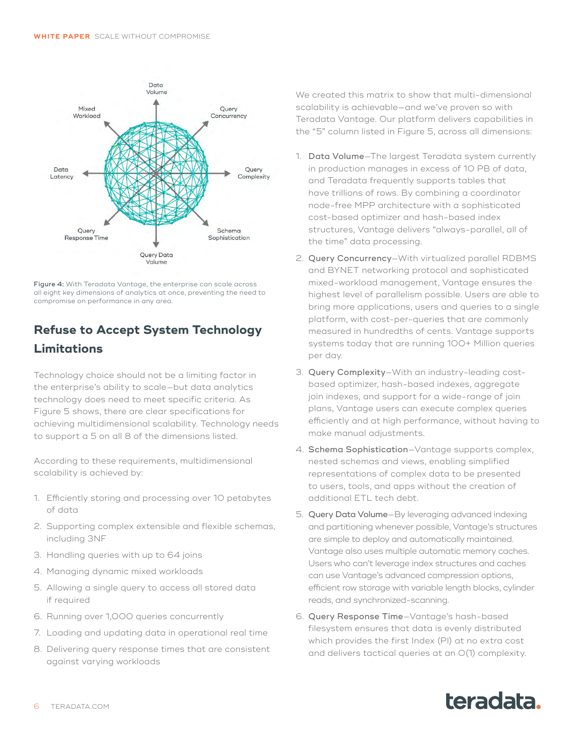<span id="page-5-0"></span>

Figure 4: With Teradata Vantage, the enterprise can scale across all eight key dimensions of analytics at once, preventing the need to compromise on performance in any area.

## **Refuse to Accept System Technology Limitations**

Technology choice should not be a limiting factor in the enterprise's ability to scale—but data analytics technology does need to meet specific criteria. As Figure 5 shows, there are clear specifications for achieving multidimensional scalability. Technology needs to support a 5 on all 8 of the dimensions listed.

According to these requirements, multidimensional scalability is achieved by:

- 1. Efficiently storing and processing over 10 petabytes of data
- 2. Supporting complex extensible and flexible schemas, including 3NF
- 3. Handling queries with up to 64 joins
- 4. Managing dynamic mixed workloads
- 5. Allowing a single query to access all stored data if required
- 6. Running over 1,000 queries concurrently
- 7. Loading and updating data in operational real time
- 8. Delivering query response times that are consistent against varying workloads

We created this matrix to show that multi-dimensional scalability is achievable—and we've proven so with Teradata Vantage. Our platform delivers capabilities in the "5" column listed in Figure 5, across all dimensions:

- 1. Data Volume—The largest Teradata system currently in production manages in excess of 10 PB of data, and Teradata frequently supports tables that have trillions of rows. By combining a coordinator node-free MPP architecture with a sophisticated cost-based optimizer and hash-based index structures, Vantage delivers "always-parallel, all of the time" data processing.
- 2. Query Concurrency—With virtualized parallel RDBMS and BYNET networking protocol and sophisticated mixed-workload management, Vantage ensures the highest level of parallelism possible. Users are able to bring more applications, users and queries to a single platform, with cost-per-queries that are commonly measured in hundredths of cents. Vantage supports systems today that are running 100+ Million queries per day.
- 3. Query Complexity—With an industry-leading costbased optimizer, hash-based indexes, aggregate join indexes, and support for a wide-range of join plans, Vantage users can execute complex queries efficiently and at high performance, without having to make manual adjustments.
- 4. Schema Sophistication—Vantage supports complex, nested schemas and views, enabling simplified representations of complex data to be presented to users, tools, and apps without the creation of additional ETL tech debt.
- 5. Query Data Volume—By leveraging advanced indexing and partitioning whenever possible, Vantage's structures are simple to deploy and automatically maintained. Vantage also uses multiple automatic memory caches. Users who can't leverage index structures and caches can use Vantage's advanced compression options, efficient row storage with variable length blocks, cylinder reads, and synchronized-scanning.
- 6. Query Response Time—Vantage's hash-based filesystem ensures that data is evenly distributed which provides the first Index (PI) at no extra cost and delivers tactical queries at an O(1) complexity.

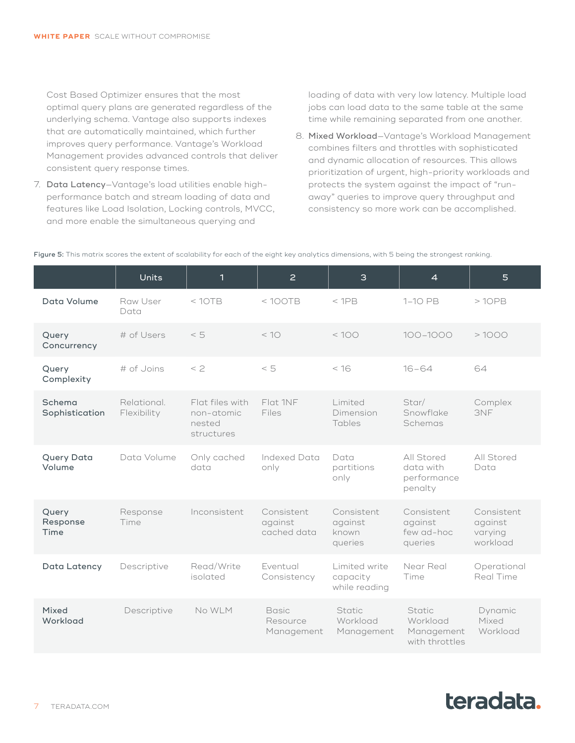Cost Based Optimizer ensures that the most optimal query plans are generated regardless of the underlying schema. Vantage also supports indexes that are automatically maintained, which further improves query performance. Vantage's Workload Management provides advanced controls that deliver consistent query response times.

7. Data Latency—Vantage's load utilities enable highperformance batch and stream loading of data and features like Load Isolation, Locking controls, MVCC, and more enable the simultaneous querying and

loading of data with very low latency. Multiple load jobs can load data to the same table at the same time while remaining separated from one another.

8. Mixed Workload—Vantage's Workload Management combines filters and throttles with sophisticated and dynamic allocation of resources. This allows prioritization of urgent, high-priority workloads and protects the system against the impact of "runaway" queries to improve query throughput and consistency so more work can be accomplished.

Figure 5: This matrix scores the extent of scalability for each of the eight key analytics dimensions, with 5 being the strongest ranking.

|                           | <b>Units</b>               | 1                                                     | $\overline{2}$                         | 3                                          | $\overline{4}$                                     | 5                                            |
|---------------------------|----------------------------|-------------------------------------------------------|----------------------------------------|--------------------------------------------|----------------------------------------------------|----------------------------------------------|
| Data Volume               | Raw User<br>Data           | < 10TB                                                | < 100TB                                | $<$ 1PB                                    | 1-10 PB                                            | >10PB                                        |
| Query<br>Concurrency      | # of Users                 | < 5                                                   | < 10                                   | <100                                       | $100 - 1000$                                       | >1000                                        |
| Query<br>Complexity       | # of Joins                 | $<$ 2                                                 | $< 5$                                  | < 16                                       | $16 - 64$                                          | 64                                           |
| Schema<br>Sophistication  | Relational.<br>Flexibility | Flat files with<br>non-atomic<br>nested<br>structures | Flat 1NF<br>Files                      | Limited<br>Dimension<br>Tables             | Star/<br>Snowflake<br>Schemas                      | Complex<br>3NF                               |
| Query Data<br>Volume      | Data Volume                | Only cached<br>data                                   | Indexed Data<br>only                   | Data<br>partitions<br>only                 | All Stored<br>data with<br>performance<br>penalty  | All Stored<br>Data                           |
| Query<br>Response<br>Time | Response<br>Time           | Inconsistent                                          | Consistent<br>against<br>cached data   | Consistent<br>against<br>known<br>queries  | Consistent<br>against<br>few ad-hoc<br>queries     | Consistent<br>against<br>varying<br>workload |
| Data Latency              | Descriptive                | Read/Write<br>isolated                                | Eventual<br>Consistency                | Limited write<br>capacity<br>while reading | Near Real<br>Time                                  | Operational<br>Real Time                     |
| Mixed<br>Workload         | Descriptive                | No WLM                                                | <b>Basic</b><br>Resource<br>Management | Static<br>Workload<br>Management           | Static<br>Workload<br>Management<br>with throttles | Dynamic<br>Mixed<br>Workload                 |